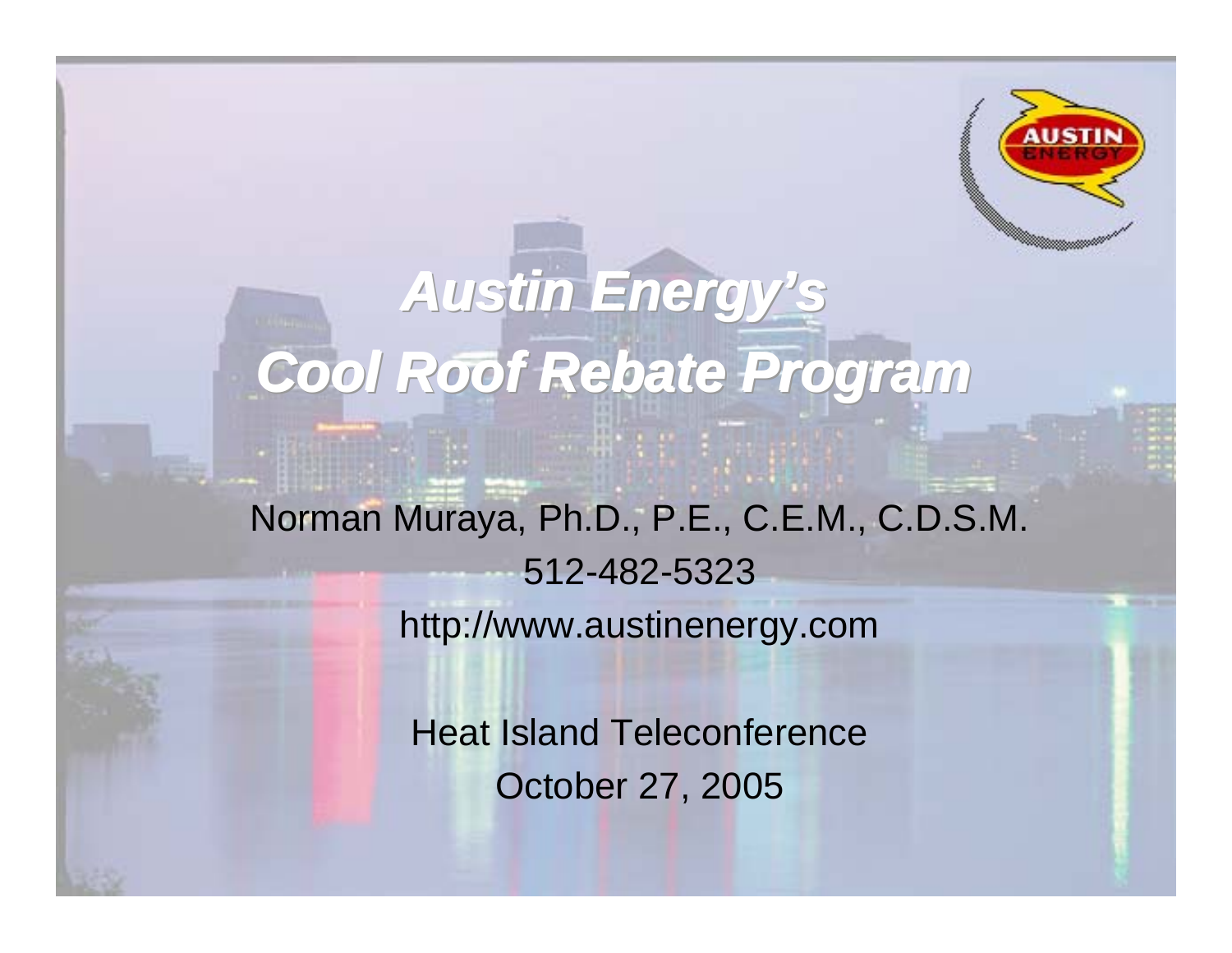

# *Austin Energy's Austin Energy's Austin Energy's Cool Roof Rebate Program Cool Roof Rebate Program Cool Roof Rebate Program* Norman Muraya, Ph.D., P.E., C.E.M., C.D.S.M. 512-482-5323

http://www.austinenergy.com

Heat Island Teleconference October 27, 2005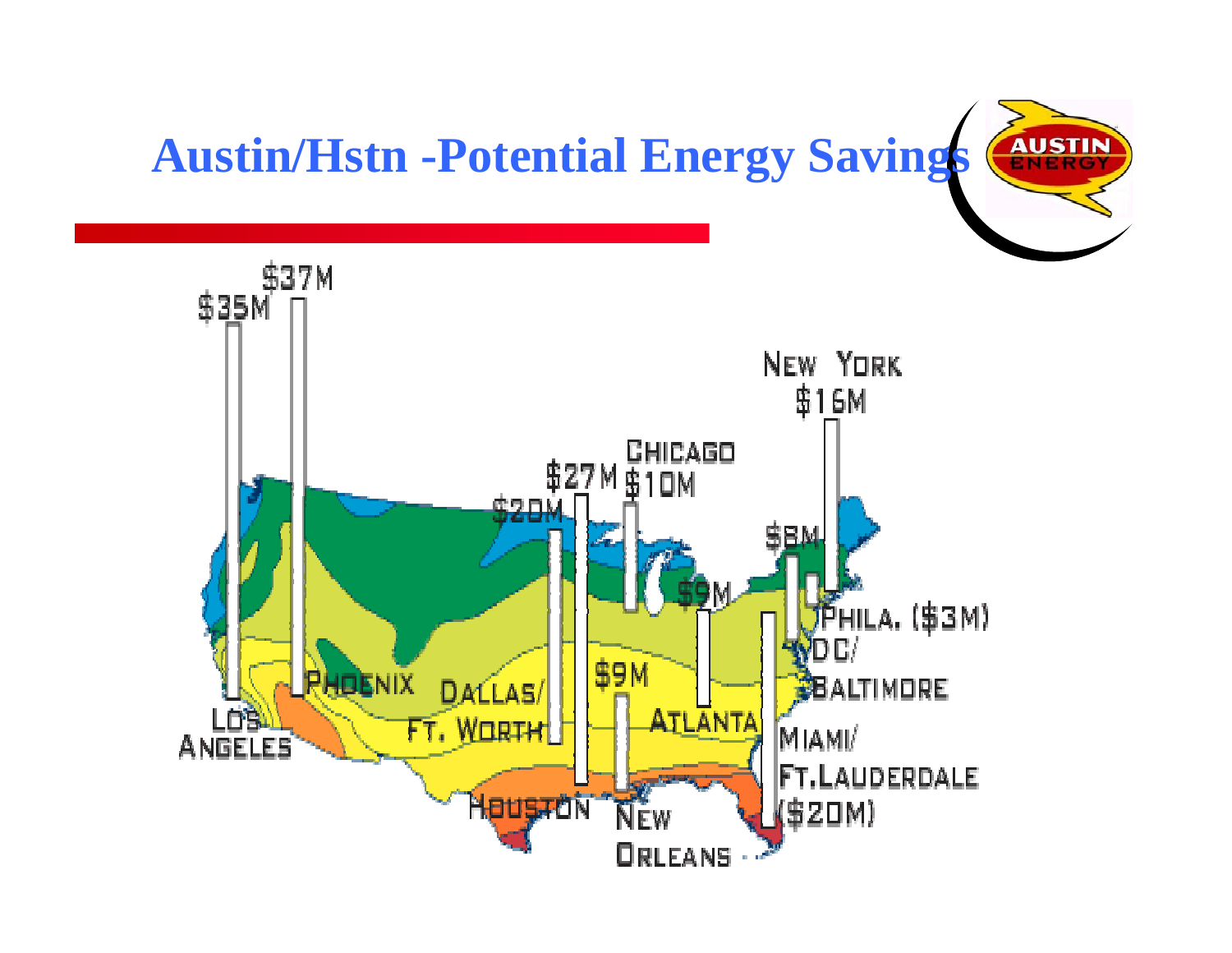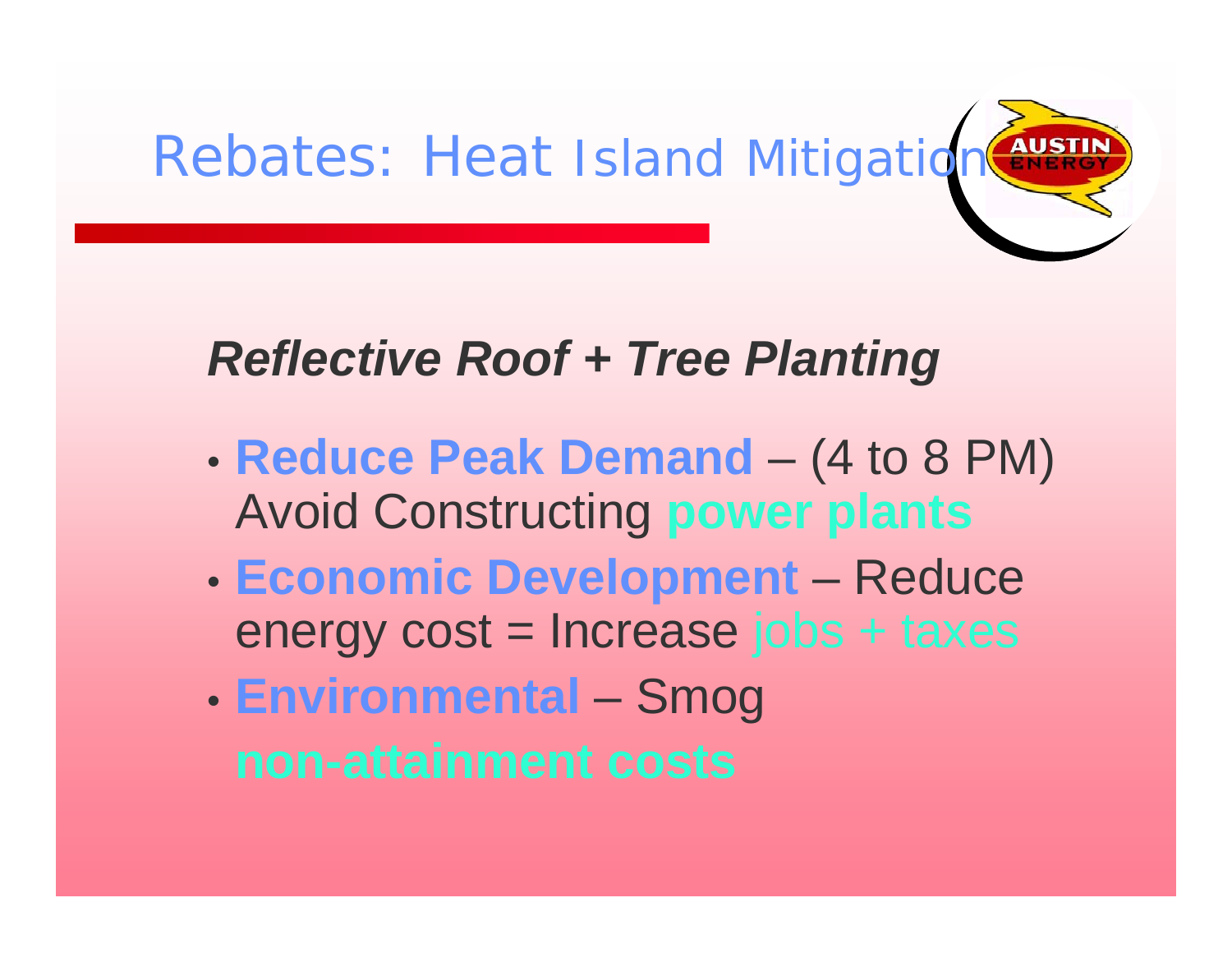

#### *Reflective Roof + Tree Planting*

- **Reduce Peak Demand** and the state of the state (4 to 8 PM) Avoid Constructing **power plants**
- $\bullet$  **Economic Development** – Reduce energy cost = Increase jobs + taxes
- **Environmental** – Smog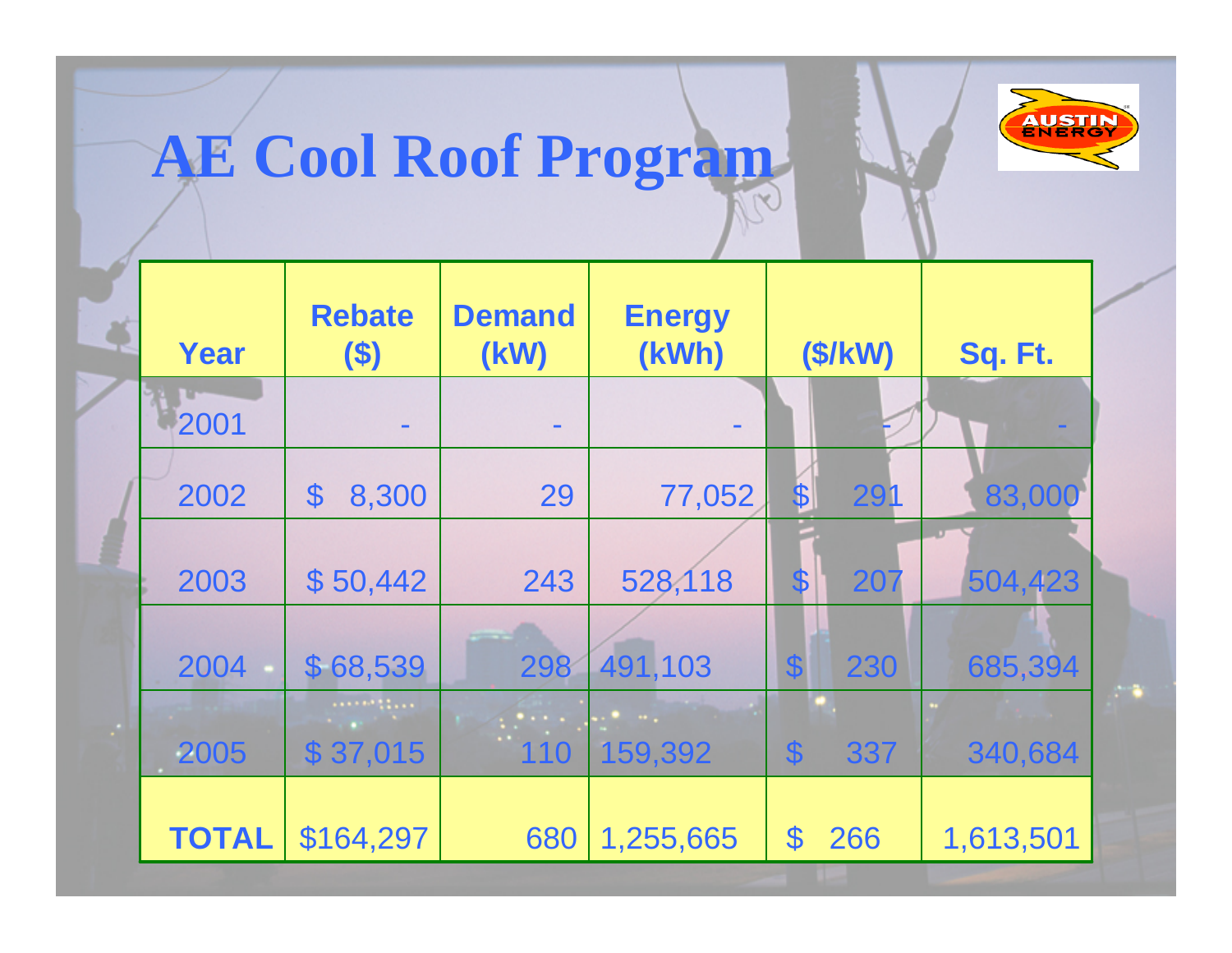

# **AE Cool Roof Program**

| Year         | <b>Rebate</b><br>$($ \$) | <b>Demand</b><br>(KW)            | <b>Energy</b><br>(kWh)   | (S/KW)                           | Sq. Ft.   |
|--------------|--------------------------|----------------------------------|--------------------------|----------------------------------|-----------|
| 2001         |                          |                                  |                          |                                  |           |
| 2002         | 8,300<br>$\mathfrak{F}$  | 29                               | 77,052                   | 291<br>\$                        | 83,000    |
| 2003         | \$50,442                 | 243                              | 528,118                  | 207<br>$\mathbf S$               | 504,423   |
| 2004         | \$68,539                 | 298                              | 491,103                  | $\boldsymbol{\mathsf{S}}$<br>230 | 685,394   |
| 2005         | \$37,015                 | <b><i>Particular:</i></b><br>110 | $\sim$ $\sim$<br>159,392 | $\boldsymbol{\mathsf{S}}$<br>337 | 340,684   |
| <b>TOTAL</b> | \$164,297                | 680                              | 1,255,665                | 266<br>\$                        | 1,613,501 |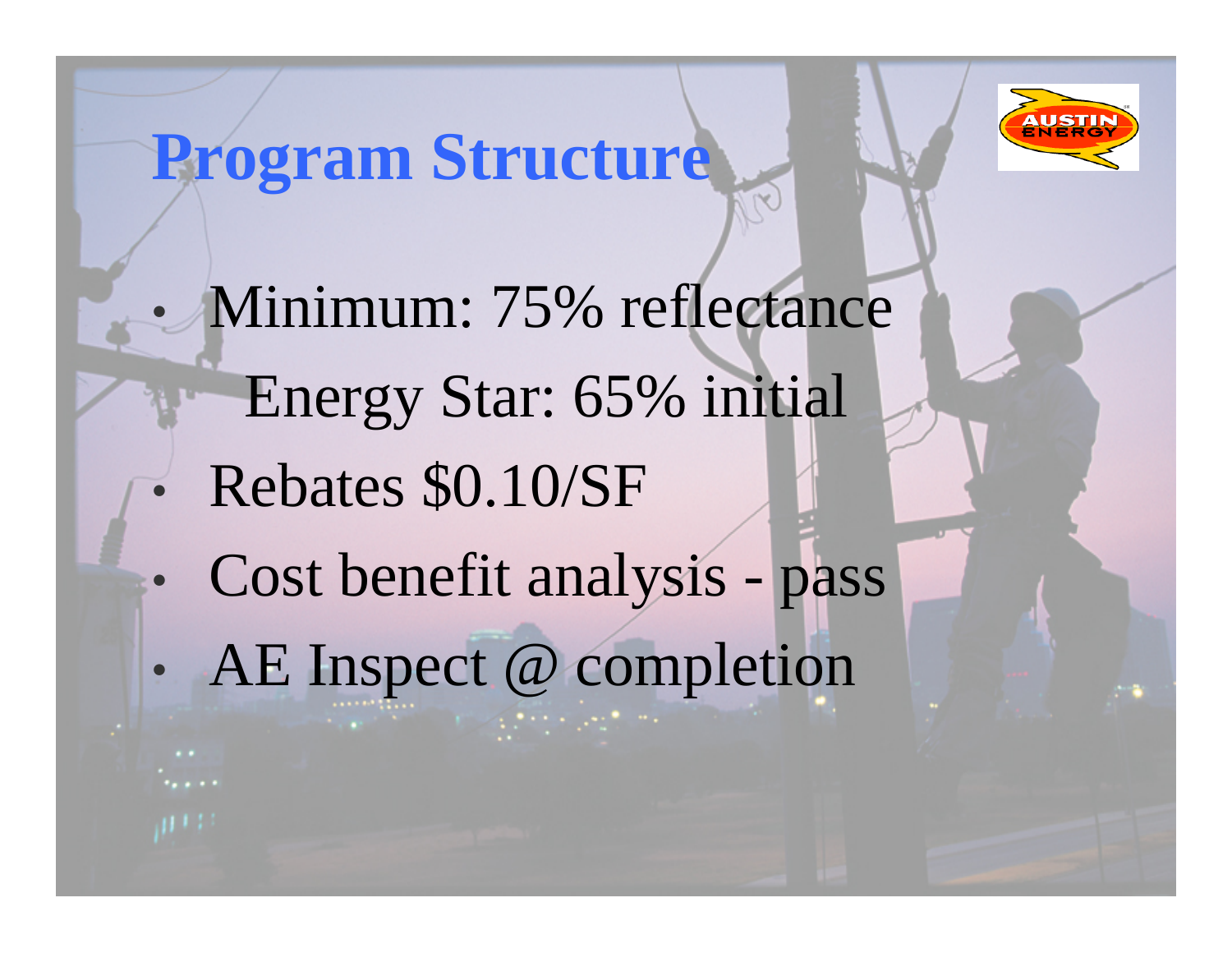

### **Program Structure**

• Minimum: 75% reflectance Energy Star: 65% initial  $\bullet$  Rebates \$0.10/SF  $\bullet$ • Cost benefit analysis - pass  $\bullet$ • AE Inspect @ completion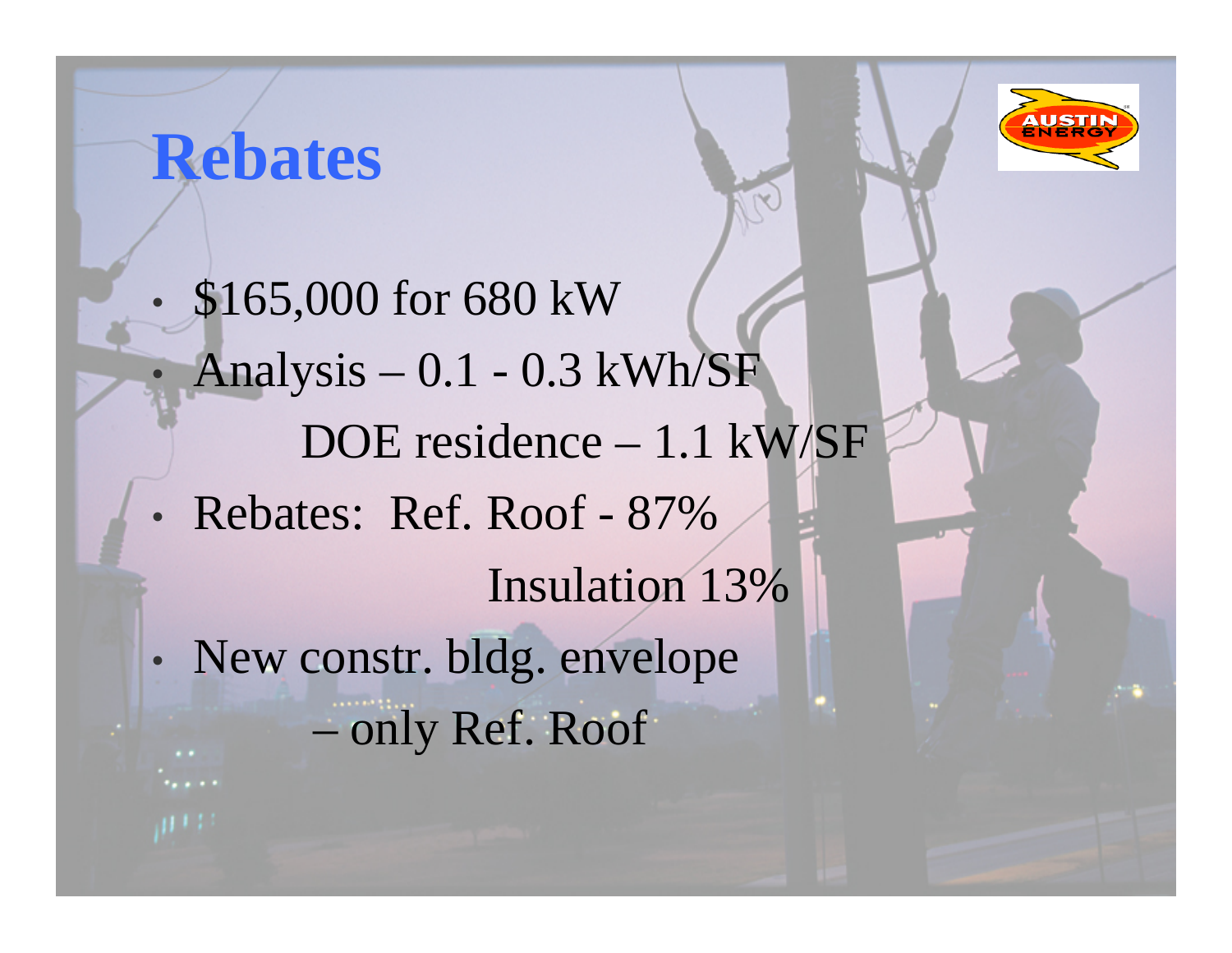

#### $\bullet$ • \$165,000 for 680 kW  $\bullet$  Analysis – 0.1 - 0.3 kWh/SF DOE residence – 1.1 kW/SF • Rebates: Ref. Roof - 87% Insulation 13% •• New constr. bldg. envelope – only Ref. Roof

**Rebates**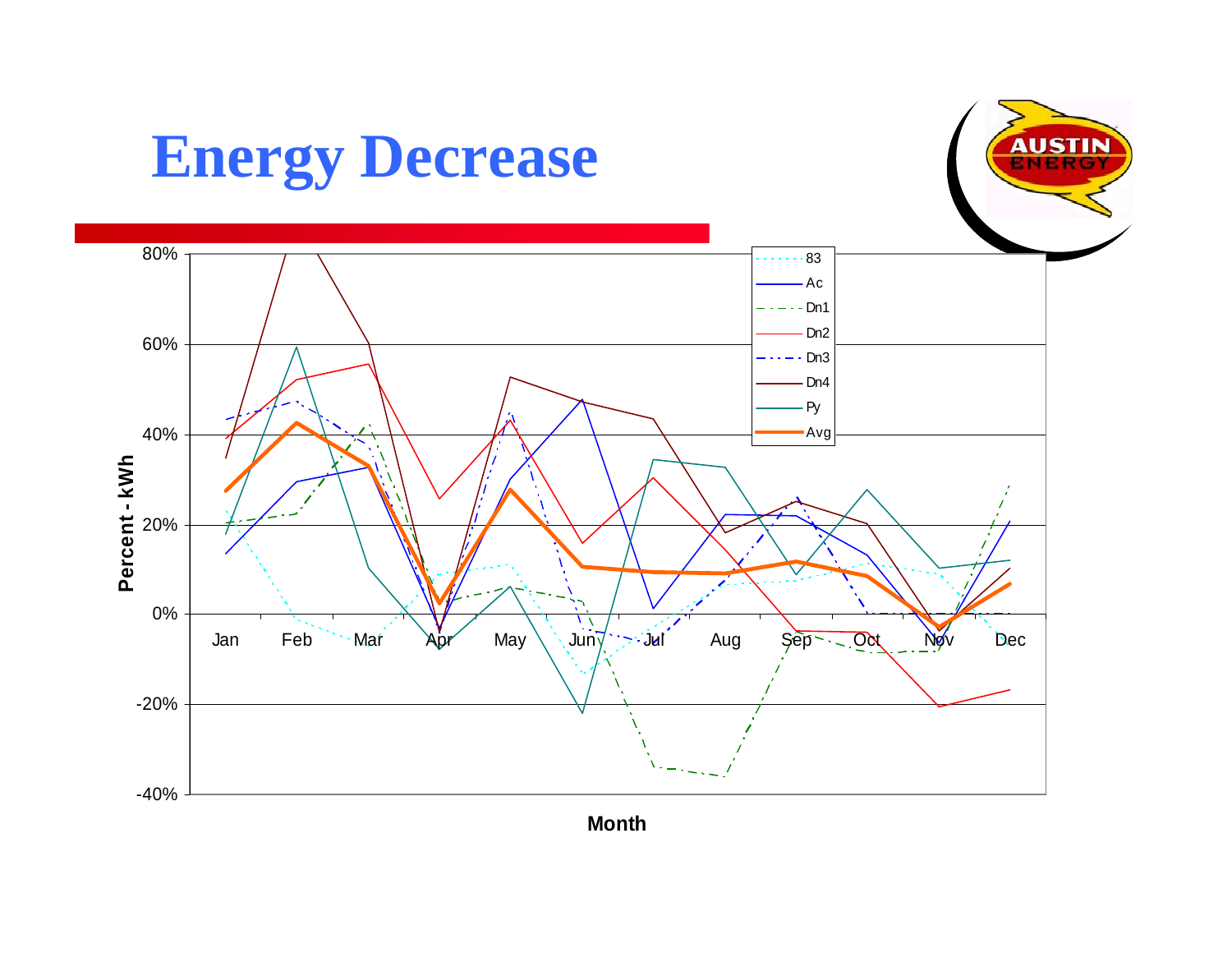

**Mont h**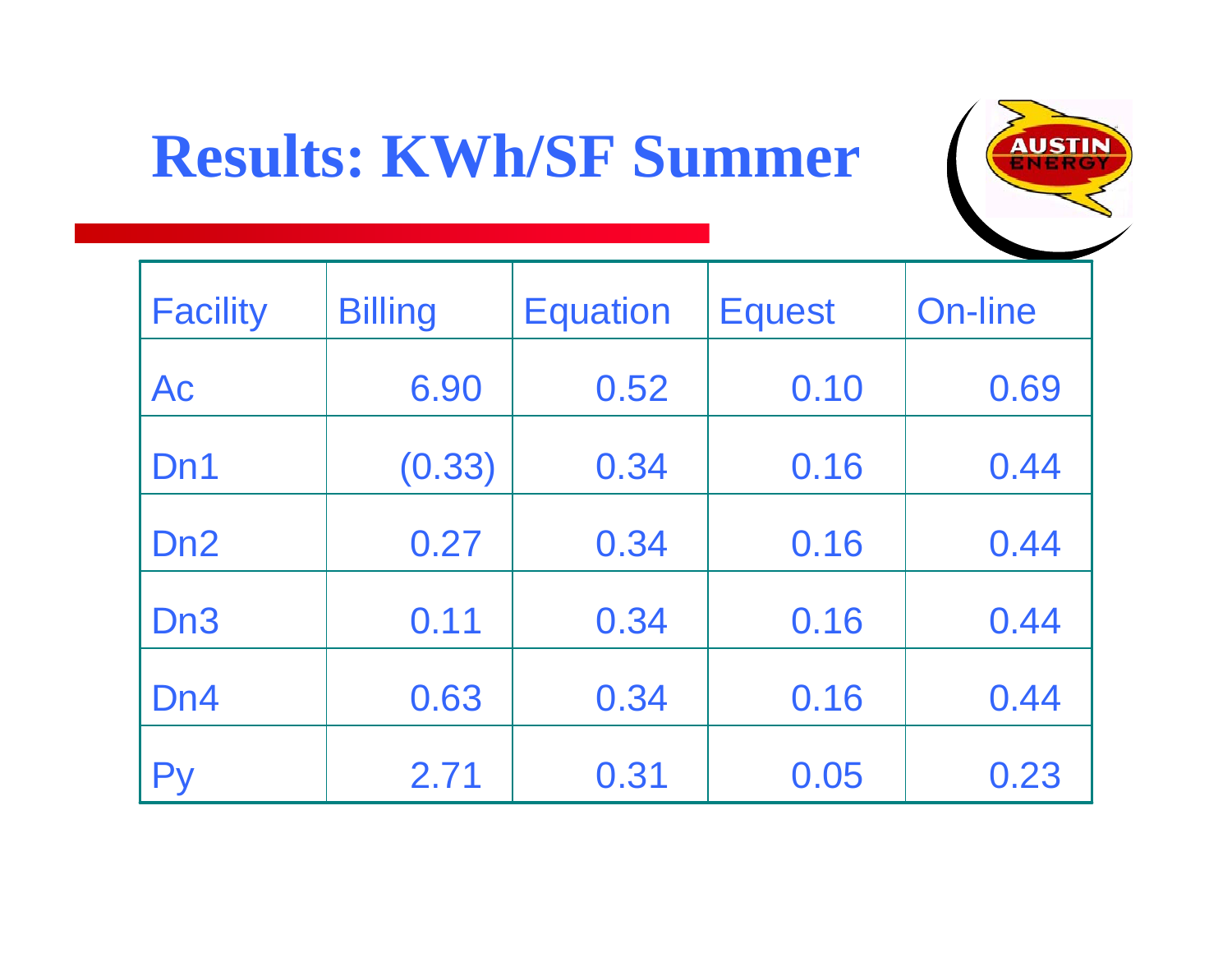## **Results: KWh/SF Summer**



| <b>Facility</b> | <b>Billing</b> | <b>Equation</b> | <b>Equest</b> | <b>On-line</b> |
|-----------------|----------------|-----------------|---------------|----------------|
| Ac              | 6.90           | 0.52            | 0.10          | 0.69           |
| Dn1             | (0.33)         | 0.34            | 0.16          | 0.44           |
| D <sub>n2</sub> | 0.27           | 0.34            | 0.16          | 0.44           |
| Dn <sub>3</sub> | 0.11           | 0.34            | 0.16          | 0.44           |
| D <sub>n4</sub> | 0.63           | 0.34            | 0.16          | 0.44           |
| Pv              | 2.71           | 0.31            | 0.05          | 0.23           |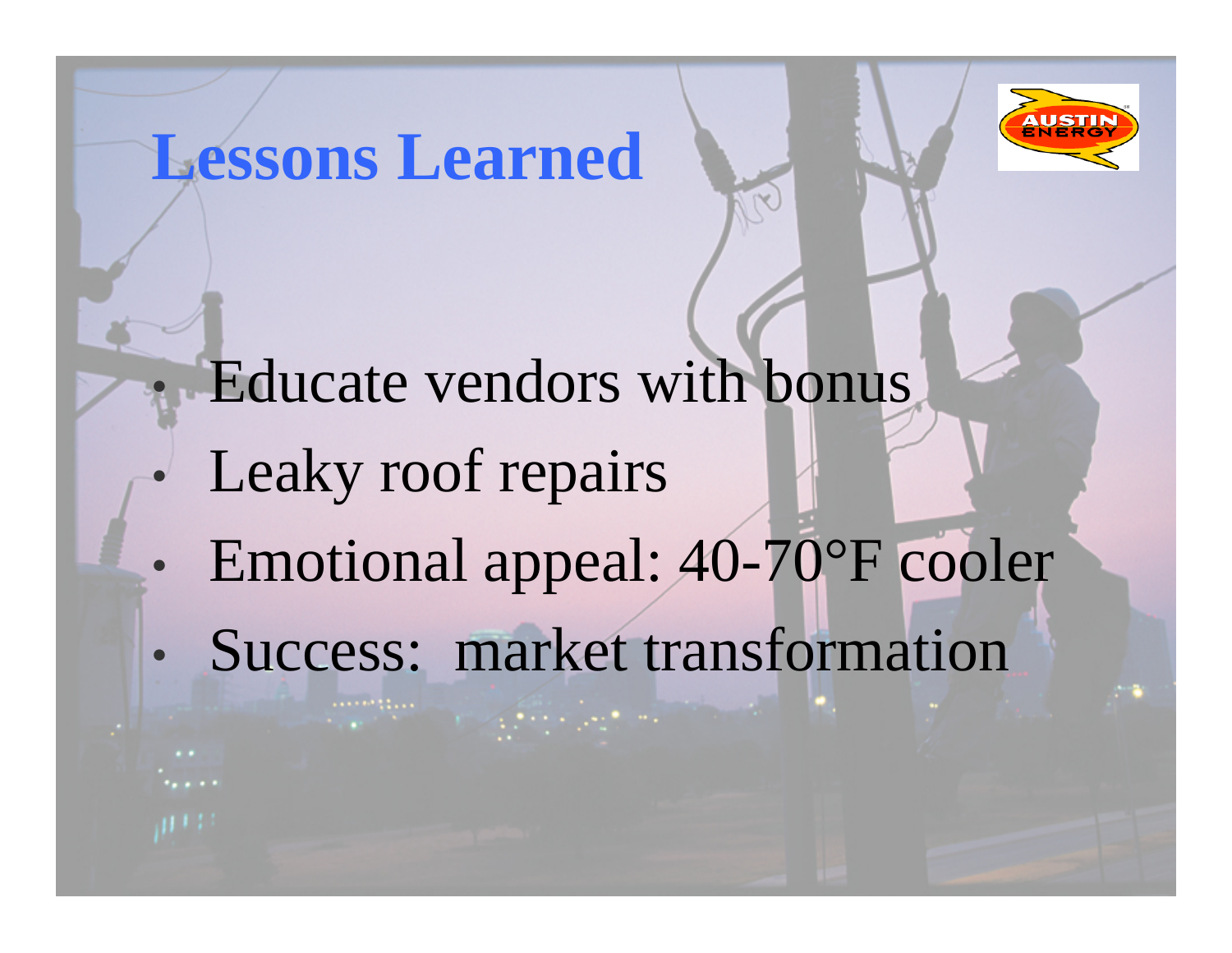#### **Lessons Learned**



## Educate vendors with bonus

 $\bullet$ Leaky roof repairs

 $\bullet$ 

- $\bullet$ Emotional appeal: 40-70°F cooler
- $\bullet$ Success: market transformation